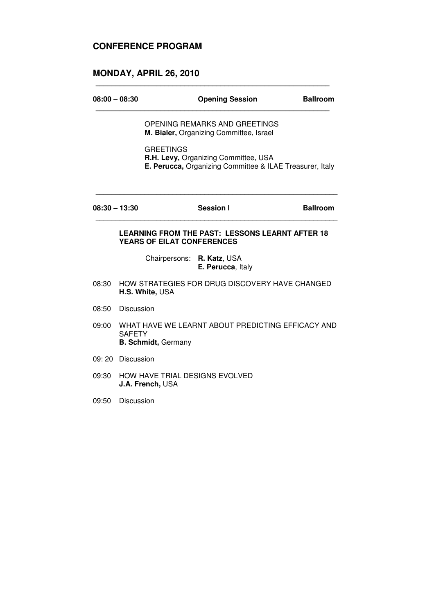## **CONFERENCE PROGRAM**

### **MONDAY, APRIL 26, 2010**

| $08:00 - 08:30$ | <b>Opening Session</b> | <b>Ballroom</b> |
|-----------------|------------------------|-----------------|
|                 |                        |                 |

**\_\_\_\_\_\_\_\_\_\_\_\_\_\_\_\_\_\_\_\_\_\_\_\_\_\_\_\_\_\_\_\_\_\_\_\_\_\_\_\_\_\_\_\_\_\_\_\_\_\_\_\_\_\_\_\_\_\_** 

 OPENING REMARKS AND GREETINGS **M. Bialer,** Organizing Committee, Israel

**GREETINGS R.H. Levy,** Organizing Committee, USA **E. Perucca,** Organizing Committee & ILAE Treasurer, Italy

| $08:30 - 13:30$ | <b>Session I</b> | <b>Ballroom</b> |
|-----------------|------------------|-----------------|
|                 |                  |                 |

**\_\_\_\_\_\_\_\_\_\_\_\_\_\_\_\_\_\_\_\_\_\_\_\_\_\_\_\_\_\_\_\_\_\_\_\_\_\_\_\_\_\_\_\_\_\_\_\_\_\_\_\_\_\_\_\_\_\_\_\_** 

**\_\_\_\_\_\_\_\_\_\_\_\_\_\_\_\_\_\_\_\_\_\_\_\_\_\_\_\_\_\_\_\_\_\_\_\_\_\_\_\_\_\_\_\_\_\_\_\_\_\_\_\_\_\_\_\_\_\_\_\_** 

### **LEARNING FROM THE PAST: LESSONS LEARNT AFTER 18 YEARS OF EILAT CONFERENCES**

 Chairpersons: **R. Katz**, USA **E. Perucca**, Italy

- 08:30 HOW STRATEGIES FOR DRUG DISCOVERY HAVE CHANGED  **H.S. White,** USA
- 08:50 Discussion
- 09:00 WHAT HAVE WE LEARNT ABOUT PREDICTING EFFICACY AND **SAFETY B. Schmidt,** Germany
- 09: 20 Discussion
- 09:30 HOW HAVE TRIAL DESIGNS EVOLVED **J.A. French,** USA
- 09:50 Discussion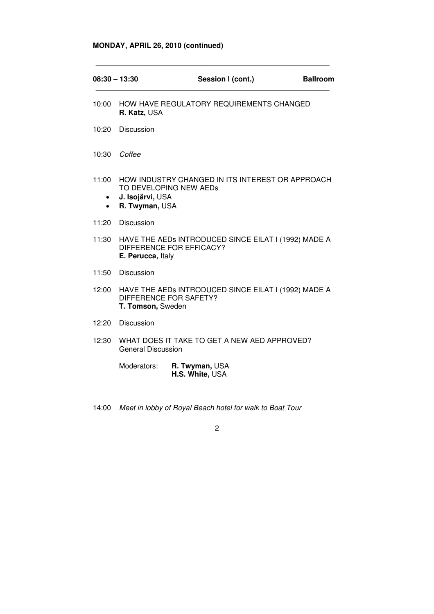# **MONDAY, APRIL 26, 2010 (continued)**

| $08:30 - 13:30$                 |                                                                                                     | Session I (cont.)                                    | <b>Ballroom</b> |
|---------------------------------|-----------------------------------------------------------------------------------------------------|------------------------------------------------------|-----------------|
| 10:00                           | R. Katz, USA                                                                                        | HOW HAVE REGULATORY REQUIREMENTS CHANGED             |                 |
| 10:20                           | Discussion                                                                                          |                                                      |                 |
| 10:30 Coffee                    |                                                                                                     |                                                      |                 |
| 11:00<br>$\bullet$<br>$\bullet$ | TO DEVELOPING NEW AEDS<br>J. Isojärvi, USA<br>R. Twyman, USA                                        | HOW INDUSTRY CHANGED IN ITS INTEREST OR APPROACH     |                 |
| 11:20                           | <b>Discussion</b>                                                                                   |                                                      |                 |
| 11:30                           | DIFFERENCE FOR EFFICACY?<br>E. Perucca, Italy                                                       | HAVE THE AEDS INTRODUCED SINCE EILAT I (1992) MADE A |                 |
| 11:50                           | <b>Discussion</b>                                                                                   |                                                      |                 |
| 12:00                           | HAVE THE AEDS INTRODUCED SINCE EILAT I (1992) MADE A<br>DIFFERENCE FOR SAFETY?<br>T. Tomson, Sweden |                                                      |                 |
| 12:20                           | <b>Discussion</b>                                                                                   |                                                      |                 |
| 12:30                           | <b>General Discussion</b>                                                                           | WHAT DOES IT TAKE TO GET A NEW AED APPROVED?         |                 |
|                                 | Moderators:                                                                                         | R. Twyman, USA<br>H.S. White, USA                    |                 |

**\_\_\_\_\_\_\_\_\_\_\_\_\_\_\_\_\_\_\_\_\_\_\_\_\_\_\_\_\_\_\_\_\_\_\_\_\_\_\_\_\_\_\_\_\_\_\_\_\_\_\_\_\_\_\_\_\_\_** 

14:00 Meet in lobby of Royal Beach hotel for walk to Boat Tour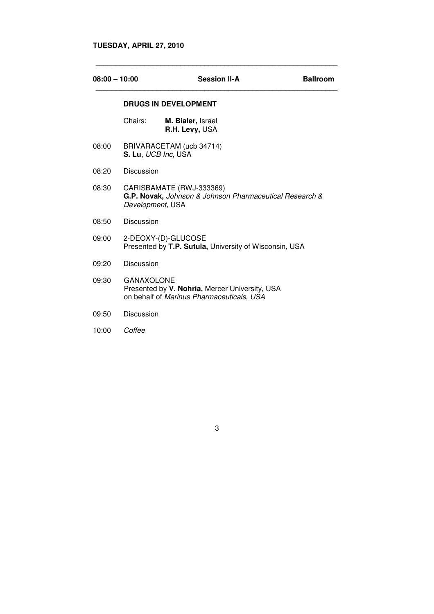# **TUESDAY, APRIL 27, 2010**

| $08:00 - 10:00$ |                     | <b>Session II-A</b>                                                                         | <b>Ballroom</b> |
|-----------------|---------------------|---------------------------------------------------------------------------------------------|-----------------|
|                 |                     | <b>DRUGS IN DEVELOPMENT</b>                                                                 |                 |
|                 | Chairs:             | M. Bialer, Israel<br>R.H. Levy, USA                                                         |                 |
| 08:00           | S. Lu, UCB Inc, USA | BRIVARACETAM (ucb 34714)                                                                    |                 |
| 08:20           | Discussion          |                                                                                             |                 |
| 08:30           | Development, USA    | CARISBAMATE (RWJ-333369)<br>G.P. Novak, Johnson & Johnson Pharmaceutical Research &         |                 |
| 08:50           | Discussion          |                                                                                             |                 |
| 09:00           |                     | 2-DEOXY-(D)-GLUCOSE<br>Presented by T.P. Sutula, University of Wisconsin, USA               |                 |
| 09:20           | Discussion          |                                                                                             |                 |
| 09:30           | GANAXOLONE          | Presented by V. Nohria, Mercer University, USA<br>on behalf of Marinus Pharmaceuticals, USA |                 |
| 09:50           | Discussion          |                                                                                             |                 |
| 10:00           | Coffee              |                                                                                             |                 |

**\_\_\_\_\_\_\_\_\_\_\_\_\_\_\_\_\_\_\_\_\_\_\_\_\_\_\_\_\_\_\_\_\_\_\_\_\_\_\_\_\_\_\_\_\_\_\_\_\_\_\_\_\_\_\_\_\_\_\_\_**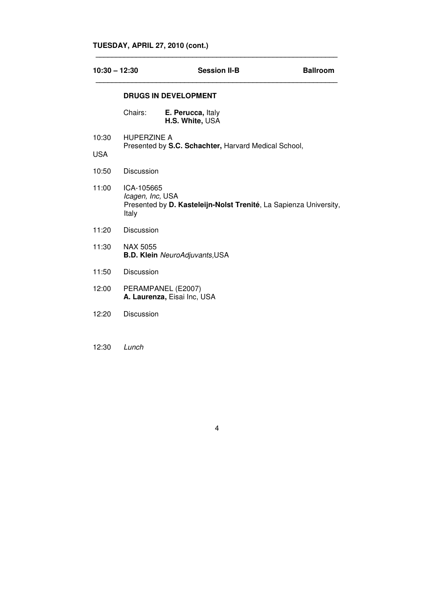## **TUESDAY, APRIL 27, 2010 (cont.)**

| $10:30 - 12:30$ |                                         | <b>Session II-B</b>                                               | <b>Ballroom</b> |
|-----------------|-----------------------------------------|-------------------------------------------------------------------|-----------------|
|                 |                                         | <b>DRUGS IN DEVELOPMENT</b>                                       |                 |
|                 | Chairs:                                 | E. Perucca, Italy<br>H.S. White, USA                              |                 |
| 10:30           | <b>HUPERZINE A</b>                      |                                                                   |                 |
| <b>USA</b>      |                                         | Presented by S.C. Schachter, Harvard Medical School,              |                 |
| 10:50           | Discussion                              |                                                                   |                 |
| 11:00           | ICA-105665<br>Icagen, Inc, USA<br>Italy | Presented by D. Kasteleijn-Nolst Trenité, La Sapienza University, |                 |
| 11:20           | <b>Discussion</b>                       |                                                                   |                 |
| 11:30           | NAX 5055                                | <b>B.D. Klein NeuroAdjuvants, USA</b>                             |                 |
| 11:50           | Discussion                              |                                                                   |                 |
| 12:00           |                                         | PERAMPANEL (E2007)<br>A. Laurenza, Eisai Inc, USA                 |                 |
| 12:20           | <b>Discussion</b>                       |                                                                   |                 |

**\_\_\_\_\_\_\_\_\_\_\_\_\_\_\_\_\_\_\_\_\_\_\_\_\_\_\_\_\_\_\_\_\_\_\_\_\_\_\_\_\_\_\_\_\_\_\_\_\_\_\_\_\_\_\_\_\_\_\_\_** 

4

12:30 Lunch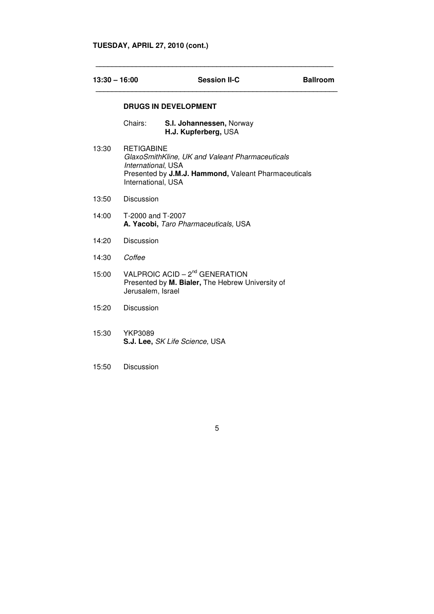| $13:30 - 16:00$ |                                                               | <b>Session II-C</b>                                                                                     | <b>Ballroom</b> |
|-----------------|---------------------------------------------------------------|---------------------------------------------------------------------------------------------------------|-----------------|
|                 |                                                               | <b>DRUGS IN DEVELOPMENT</b>                                                                             |                 |
|                 | Chairs:                                                       | S.I. Johannessen, Norway<br>H.J. Kupferberg, USA                                                        |                 |
| 13:30           | <b>RETIGABINE</b><br>International, USA<br>International, USA | GlaxoSmithKline, UK and Valeant Pharmaceuticals<br>Presented by J.M.J. Hammond, Valeant Pharmaceuticals |                 |
| 13:50           | <b>Discussion</b>                                             |                                                                                                         |                 |
| 14:00           | T-2000 and T-2007                                             | A. Yacobi, Taro Pharmaceuticals, USA                                                                    |                 |
| 14:20           | Discussion                                                    |                                                                                                         |                 |
| 14:30           | Coffee                                                        |                                                                                                         |                 |
| 15:00           | Jerusalem, Israel                                             | VALPROIC ACID $-2^{nd}$ GENERATION<br>Presented by M. Bialer, The Hebrew University of                  |                 |
| 15:20           | Discussion                                                    |                                                                                                         |                 |
| 15:30           | YKP3089                                                       | S.J. Lee, SK Life Science, USA                                                                          |                 |
| 15:50           | Discussion                                                    |                                                                                                         |                 |

**\_\_\_\_\_\_\_\_\_\_\_\_\_\_\_\_\_\_\_\_\_\_\_\_\_\_\_\_\_\_\_\_\_\_\_\_\_\_\_\_\_\_\_\_\_\_\_\_\_\_\_\_\_\_\_\_\_\_\_**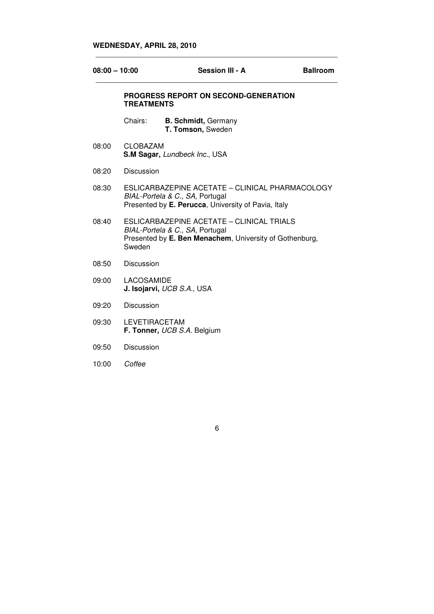| $08:00 - 10:00$ | Session III - A                                                                                                                                   | <b>Ballroom</b> |
|-----------------|---------------------------------------------------------------------------------------------------------------------------------------------------|-----------------|
|                 | <b>PROGRESS REPORT ON SECOND-GENERATION</b><br><b>TREATMENTS</b>                                                                                  |                 |
|                 | Chairs:<br><b>B. Schmidt, Germany</b><br>T. Tomson, Sweden                                                                                        |                 |
| 08:00           | <b>CLOBAZAM</b><br>S.M Sagar, Lundbeck Inc., USA                                                                                                  |                 |
| 08:20           | Discussion                                                                                                                                        |                 |
| 08:30           | ESLICARBAZEPINE ACETATE - CLINICAL PHARMACOLOGY<br>BIAL-Portela & C., SA, Portugal<br>Presented by E. Perucca, University of Pavia, Italy         |                 |
| 08:40           | ESLICARBAZEPINE ACETATE - CLINICAL TRIALS<br>BIAL-Portela & C., SA, Portugal<br>Presented by E. Ben Menachem, University of Gothenburg,<br>Sweden |                 |
| 08:50           | Discussion                                                                                                                                        |                 |
| 09:00           | LACOSAMIDE<br>J. Isojarvi, UCB S.A., USA                                                                                                          |                 |
| 09:20           | Discussion                                                                                                                                        |                 |
| 09:30           | <b>LEVETIRACETAM</b><br>F. Tonner, UCB S.A. Belgium                                                                                               |                 |
| 09:50           | Discussion                                                                                                                                        |                 |
| 10:00           | Coffee                                                                                                                                            |                 |

\_\_\_\_\_\_\_\_\_\_\_\_\_\_\_\_\_\_\_\_\_\_\_\_\_\_\_\_\_\_\_\_\_\_\_\_\_\_\_\_\_\_\_\_\_\_\_\_\_\_\_\_\_\_\_\_\_\_\_\_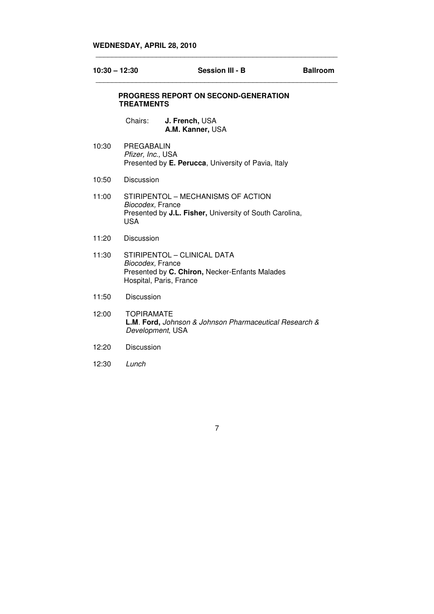|       | $10:30 - 12:30$                             | <b>Session III - B</b>                                                                        | <b>Ballroom</b> |
|-------|---------------------------------------------|-----------------------------------------------------------------------------------------------|-----------------|
|       | <b>TREATMENTS</b>                           | <b>PROGRESS REPORT ON SECOND-GENERATION</b>                                                   |                 |
|       | Chairs:                                     | J. French, USA<br>A.M. Kanner, USA                                                            |                 |
| 10:30 | <b>PREGABALIN</b><br>Pfizer, Inc., USA      | Presented by E. Perucca, University of Pavia, Italy                                           |                 |
| 10:50 | Discussion                                  |                                                                                               |                 |
| 11:00 | Biocodex, France<br><b>USA</b>              | STIRIPENTOL - MECHANISMS OF ACTION<br>Presented by J.L. Fisher, University of South Carolina, |                 |
| 11:20 | <b>Discussion</b>                           |                                                                                               |                 |
| 11:30 | Biocodex, France<br>Hospital, Paris, France | STIRIPENTOL - CLINICAL DATA<br>Presented by C. Chiron, Necker-Enfants Malades                 |                 |
| 11:50 | Discussion                                  |                                                                                               |                 |
| 12:00 | <b>TOPIRAMATE</b><br>Development, USA       | L.M. Ford, Johnson & Johnson Pharmaceutical Research &                                        |                 |
| 12:20 | Discussion                                  |                                                                                               |                 |
| 12:30 | Lunch                                       |                                                                                               |                 |

\_\_\_\_\_\_\_\_\_\_\_\_\_\_\_\_\_\_\_\_\_\_\_\_\_\_\_\_\_\_\_\_\_\_\_\_\_\_\_\_\_\_\_\_\_\_\_\_\_\_\_\_\_\_\_\_\_\_\_\_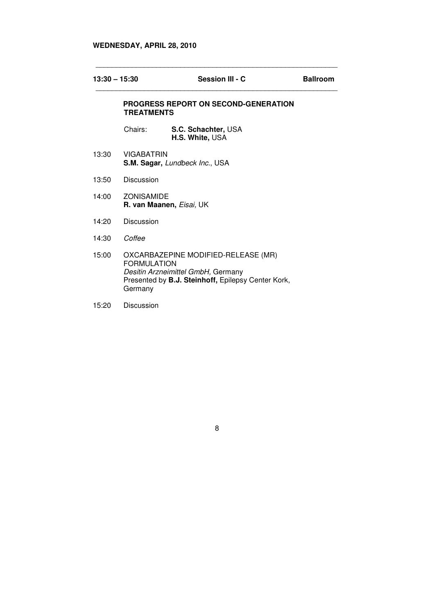# **WEDNESDAY, APRIL 28, 2010**

| $13:30 - 15:30$ |                               | Session III - C                                                                                                                 | <b>Ballroom</b> |
|-----------------|-------------------------------|---------------------------------------------------------------------------------------------------------------------------------|-----------------|
|                 | <b>TREATMENTS</b>             | <b>PROGRESS REPORT ON SECOND-GENERATION</b>                                                                                     |                 |
|                 | Chairs:                       | S.C. Schachter, USA<br>H.S. White, USA                                                                                          |                 |
| 13:30           | <b>VIGABATRIN</b>             | S.M. Sagar, Lundbeck Inc., USA                                                                                                  |                 |
| 13:50           | Discussion                    |                                                                                                                                 |                 |
| 14:00           | <b>ZONISAMIDE</b>             | R. van Maanen, Eisai, UK                                                                                                        |                 |
| 14:20           | Discussion                    |                                                                                                                                 |                 |
| 14:30           | Coffee                        |                                                                                                                                 |                 |
| 15:00           | <b>FORMULATION</b><br>Germany | OXCARBAZEPINE MODIFIED-RELEASE (MR)<br>Desitin Arzneimittel GmbH, Germany<br>Presented by B.J. Steinhoff, Epilepsy Center Kork, |                 |
|                 |                               |                                                                                                                                 |                 |

\_\_\_\_\_\_\_\_\_\_\_\_\_\_\_\_\_\_\_\_\_\_\_\_\_\_\_\_\_\_\_\_\_\_\_\_\_\_\_\_\_\_\_\_\_\_\_\_\_\_\_\_\_\_\_\_\_\_\_\_

8

15:20 Discussion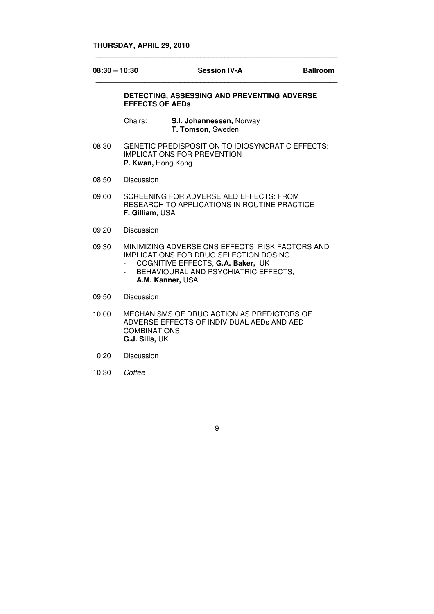| $08:30 - 10:30$ |                        | <b>Session IV-A</b>                                                                                                                                                     | <b>Ballroom</b> |
|-----------------|------------------------|-------------------------------------------------------------------------------------------------------------------------------------------------------------------------|-----------------|
|                 | <b>EFFECTS OF AEDS</b> | DETECTING, ASSESSING AND PREVENTING ADVERSE                                                                                                                             |                 |
|                 | Chairs:                | S.I. Johannessen, Norway<br>T. Tomson, Sweden                                                                                                                           |                 |
| 08:30           | P. Kwan, Hong Kong     | GENETIC PREDISPOSITION TO IDIOSYNCRATIC EFFECTS:<br><b>IMPLICATIONS FOR PREVENTION</b>                                                                                  |                 |
| 08:50           | Discussion             |                                                                                                                                                                         |                 |
| 09:00           | <b>F. Gilliam, USA</b> | SCREENING FOR ADVERSE AED EFFECTS: FROM<br>RESEARCH TO APPLICATIONS IN ROUTINE PRACTICE                                                                                 |                 |
| 09:20           | Discussion             |                                                                                                                                                                         |                 |
| 09:30           | A.M. Kanner, USA       | MINIMIZING ADVERSE CNS EFFECTS: RISK FACTORS AND<br>IMPLICATIONS FOR DRUG SELECTION DOSING<br>COGNITIVE EFFECTS, G.A. Baker, UK<br>BEHAVIOURAL AND PSYCHIATRIC EFFECTS, |                 |
| 09:50           | Discussion             |                                                                                                                                                                         |                 |

\_\_\_\_\_\_\_\_\_\_\_\_\_\_\_\_\_\_\_\_\_\_\_\_\_\_\_\_\_\_\_\_\_\_\_\_\_\_\_\_\_\_\_\_\_\_\_\_\_\_\_\_\_\_\_\_\_\_\_\_

10:00 MECHANISMS OF DRUG ACTION AS PREDICTORS OF ADVERSE EFFECTS OF INDIVIDUAL AEDs AND AED COMBINATIONS  **G.J. Sills,** UK

- 10:20 Discussion
- 10:30 Coffee